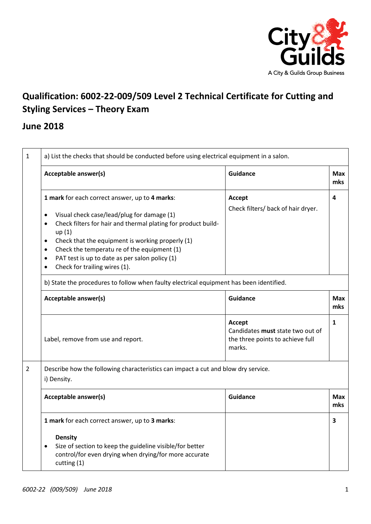

## **Qualification: 6002-22-009/509 Level 2 Technical Certificate for Cutting and Styling Services – Theory Exam**

## **June 2018**

| $\mathbf{1}$   | a) List the checks that should be conducted before using electrical equipment in a salon.                                                                                                                                                                                                                                                                                                                                                  |                                                                                          |                   |
|----------------|--------------------------------------------------------------------------------------------------------------------------------------------------------------------------------------------------------------------------------------------------------------------------------------------------------------------------------------------------------------------------------------------------------------------------------------------|------------------------------------------------------------------------------------------|-------------------|
|                | Acceptable answer(s)                                                                                                                                                                                                                                                                                                                                                                                                                       | <b>Guidance</b>                                                                          | <b>Max</b><br>mks |
|                | 1 mark for each correct answer, up to 4 marks:<br>Visual check case/lead/plug for damage (1)<br>$\bullet$<br>Check filters for hair and thermal plating for product build-<br>$\bullet$<br>up(1)<br>Check that the equipment is working properly (1)<br>$\bullet$<br>Check the temperatu re of the equipment (1)<br>$\bullet$<br>PAT test is up to date as per salon policy (1)<br>$\bullet$<br>Check for trailing wires (1).<br>$\bullet$ | Accept<br>Check filters/ back of hair dryer.                                             | 4                 |
|                | b) State the procedures to follow when faulty electrical equipment has been identified.                                                                                                                                                                                                                                                                                                                                                    |                                                                                          |                   |
|                | Acceptable answer(s)                                                                                                                                                                                                                                                                                                                                                                                                                       | <b>Guidance</b>                                                                          | <b>Max</b><br>mks |
|                | Label, remove from use and report.                                                                                                                                                                                                                                                                                                                                                                                                         | Accept<br>Candidates must state two out of<br>the three points to achieve full<br>marks. | 1                 |
| $\overline{2}$ | Describe how the following characteristics can impact a cut and blow dry service.<br>i) Density.                                                                                                                                                                                                                                                                                                                                           |                                                                                          |                   |
|                | Acceptable answer(s)                                                                                                                                                                                                                                                                                                                                                                                                                       | Guidance                                                                                 | <b>Max</b><br>mks |
|                | 1 mark for each correct answer, up to 3 marks:<br><b>Density</b><br>Size of section to keep the guideline visible/for better<br>$\bullet$<br>control/for even drying when drying/for more accurate<br>cutting (1)                                                                                                                                                                                                                          |                                                                                          | 3                 |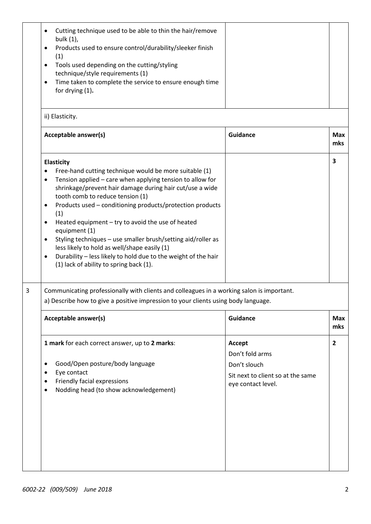|   | Cutting technique used to be able to thin the hair/remove<br>$\bullet$<br>bulk (1),<br>Products used to ensure control/durability/sleeker finish<br>٠<br>(1)<br>Tools used depending on the cutting/styling<br>$\bullet$<br>technique/style requirements (1)<br>Time taken to complete the service to ensure enough time<br>$\bullet$<br>for drying (1).                                                                                                                                                                                                                                                                                                 |                                                                                                      |                   |  |  |
|---|----------------------------------------------------------------------------------------------------------------------------------------------------------------------------------------------------------------------------------------------------------------------------------------------------------------------------------------------------------------------------------------------------------------------------------------------------------------------------------------------------------------------------------------------------------------------------------------------------------------------------------------------------------|------------------------------------------------------------------------------------------------------|-------------------|--|--|
|   | ii) Elasticity.                                                                                                                                                                                                                                                                                                                                                                                                                                                                                                                                                                                                                                          |                                                                                                      |                   |  |  |
|   | Acceptable answer(s)                                                                                                                                                                                                                                                                                                                                                                                                                                                                                                                                                                                                                                     | <b>Guidance</b>                                                                                      | <b>Max</b><br>mks |  |  |
|   | <b>Elasticity</b><br>Free-hand cutting technique would be more suitable (1)<br>Tension applied - care when applying tension to allow for<br>$\bullet$<br>shrinkage/prevent hair damage during hair cut/use a wide<br>tooth comb to reduce tension (1)<br>Products used - conditioning products/protection products<br>٠<br>(1)<br>Heated equipment - try to avoid the use of heated<br>٠<br>equipment (1)<br>Styling techniques - use smaller brush/setting aid/roller as<br>$\bullet$<br>less likely to hold as well/shape easily (1)<br>Durability - less likely to hold due to the weight of the hair<br>٠<br>(1) lack of ability to spring back (1). |                                                                                                      | 3                 |  |  |
| 3 | Communicating professionally with clients and colleagues in a working salon is important.<br>a) Describe how to give a positive impression to your clients using body language.                                                                                                                                                                                                                                                                                                                                                                                                                                                                          |                                                                                                      |                   |  |  |
|   | <b>Acceptable answer(s)</b>                                                                                                                                                                                                                                                                                                                                                                                                                                                                                                                                                                                                                              | Guidance                                                                                             | <b>Max</b><br>mks |  |  |
|   | 1 mark for each correct answer, up to 2 marks:<br>Good/Open posture/body language<br>$\bullet$<br>Eye contact<br>٠<br>Friendly facial expressions<br>$\bullet$<br>Nodding head (to show acknowledgement)<br>$\bullet$                                                                                                                                                                                                                                                                                                                                                                                                                                    | Accept<br>Don't fold arms<br>Don't slouch<br>Sit next to client so at the same<br>eye contact level. | $\overline{2}$    |  |  |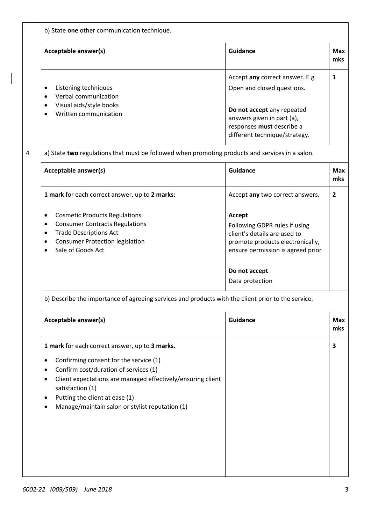| b) State one other communication technique.                                                                                                                                                                                                         |                                                                                                                                                                                      |  |  |  |
|-----------------------------------------------------------------------------------------------------------------------------------------------------------------------------------------------------------------------------------------------------|--------------------------------------------------------------------------------------------------------------------------------------------------------------------------------------|--|--|--|
| Acceptable answer(s)                                                                                                                                                                                                                                | <b>Guidance</b><br><b>Max</b><br>mks                                                                                                                                                 |  |  |  |
| Listening techniques<br>$\bullet$<br>Verbal communication<br>$\bullet$<br>Visual aids/style books<br>Written communication                                                                                                                          | Accept any correct answer. E.g.<br>$\mathbf{1}$<br>Open and closed questions.<br>Do not accept any repeated                                                                          |  |  |  |
|                                                                                                                                                                                                                                                     | answers given in part (a),<br>responses must describe a<br>different technique/strategy.                                                                                             |  |  |  |
| a) State two regulations that must be followed when promoting products and services in a salon.                                                                                                                                                     |                                                                                                                                                                                      |  |  |  |
| Acceptable answer(s)                                                                                                                                                                                                                                | <b>Guidance</b><br><b>Max</b><br>mks                                                                                                                                                 |  |  |  |
| 1 mark for each correct answer, up to 2 marks:                                                                                                                                                                                                      | $\overline{2}$<br>Accept any two correct answers.                                                                                                                                    |  |  |  |
| <b>Cosmetic Products Regulations</b><br>٠<br><b>Consumer Contracts Regulations</b><br>$\bullet$<br><b>Trade Descriptions Act</b><br>$\bullet$<br><b>Consumer Protection legislation</b><br>٠<br>Sale of Goods Act<br>$\bullet$                      | Accept<br>Following GDPR rules if using<br>client's details are used to<br>promote products electronically,<br>ensure permission is agreed prior<br>Do not accept<br>Data protection |  |  |  |
| b) Describe the importance of agreeing services and products with the client prior to the service.                                                                                                                                                  |                                                                                                                                                                                      |  |  |  |
| Acceptable answer(s)                                                                                                                                                                                                                                | <b>Guidance</b><br><b>Max</b><br>mks                                                                                                                                                 |  |  |  |
| 1 mark for each correct answer, up to 3 marks.<br>Confirming consent for the service (1)<br>$\bullet$<br>Confirm cost/duration of services (1)<br>٠<br>Client expectations are managed effectively/ensuring client<br>$\bullet$<br>satisfaction (1) | 3                                                                                                                                                                                    |  |  |  |
| Putting the client at ease (1)<br>٠<br>Manage/maintain salon or stylist reputation (1)<br>٠                                                                                                                                                         |                                                                                                                                                                                      |  |  |  |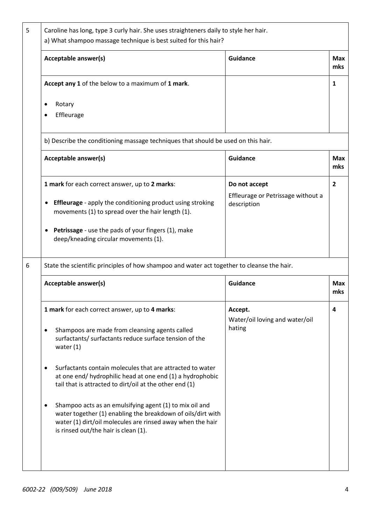| <b>Guidance</b>                                                                            |  |  |  |
|--------------------------------------------------------------------------------------------|--|--|--|
|                                                                                            |  |  |  |
|                                                                                            |  |  |  |
|                                                                                            |  |  |  |
| b) Describe the conditioning massage techniques that should be used on this hair.          |  |  |  |
| <b>Guidance</b>                                                                            |  |  |  |
| Do not accept                                                                              |  |  |  |
| Effleurage or Petrissage without a<br>description                                          |  |  |  |
|                                                                                            |  |  |  |
| State the scientific principles of how shampoo and water act together to cleanse the hair. |  |  |  |
| <b>Guidance</b>                                                                            |  |  |  |
| Accept.<br>Water/oil loving and water/oil<br>hating                                        |  |  |  |
|                                                                                            |  |  |  |
|                                                                                            |  |  |  |
|                                                                                            |  |  |  |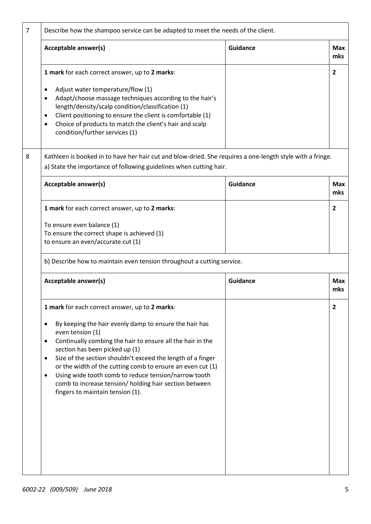| Acceptable answer(s)                                                                                                                                                                                                                                                                                                                                                                                                                                                                                                                        | <b>Guidance</b> | <b>Max</b><br>mks                                                                                                                                                                                                                                                   |  |
|---------------------------------------------------------------------------------------------------------------------------------------------------------------------------------------------------------------------------------------------------------------------------------------------------------------------------------------------------------------------------------------------------------------------------------------------------------------------------------------------------------------------------------------------|-----------------|---------------------------------------------------------------------------------------------------------------------------------------------------------------------------------------------------------------------------------------------------------------------|--|
| 1 mark for each correct answer, up to 2 marks:                                                                                                                                                                                                                                                                                                                                                                                                                                                                                              |                 | $\overline{2}$                                                                                                                                                                                                                                                      |  |
| Adjust water temperature/flow (1)<br>$\bullet$<br>Adapt/choose massage techniques according to the hair's<br>٠<br>length/density/scalp condition/classification (1)<br>Client positioning to ensure the client is comfortable (1)<br>$\bullet$<br>Choice of products to match the client's hair and scalp<br>$\bullet$<br>condition/further services (1)                                                                                                                                                                                    |                 |                                                                                                                                                                                                                                                                     |  |
|                                                                                                                                                                                                                                                                                                                                                                                                                                                                                                                                             |                 |                                                                                                                                                                                                                                                                     |  |
| <b>Acceptable answer(s)</b>                                                                                                                                                                                                                                                                                                                                                                                                                                                                                                                 | <b>Guidance</b> | <b>Max</b><br>mks                                                                                                                                                                                                                                                   |  |
| 1 mark for each correct answer, up to 2 marks:                                                                                                                                                                                                                                                                                                                                                                                                                                                                                              |                 | $\overline{2}$                                                                                                                                                                                                                                                      |  |
| To ensure even balance (1)<br>To ensure the correct shape is achieved (1)<br>to ensure an even/accurate cut (1)                                                                                                                                                                                                                                                                                                                                                                                                                             |                 |                                                                                                                                                                                                                                                                     |  |
| b) Describe how to maintain even tension throughout a cutting service.                                                                                                                                                                                                                                                                                                                                                                                                                                                                      |                 |                                                                                                                                                                                                                                                                     |  |
| Acceptable answer(s)                                                                                                                                                                                                                                                                                                                                                                                                                                                                                                                        | Guidance        | <b>Max</b><br>mks                                                                                                                                                                                                                                                   |  |
| 1 mark for each correct answer, up to 2 marks:<br>By keeping the hair evenly damp to ensure the hair has<br>٠<br>even tension (1)<br>Continually combing the hair to ensure all the hair in the<br>٠<br>section has been picked up (1)<br>Size of the section shouldn't exceed the length of a finger<br>$\bullet$<br>or the width of the cutting comb to ensure an even cut (1)<br>Using wide tooth comb to reduce tension/narrow tooth<br>٠<br>comb to increase tension/ holding hair section between<br>fingers to maintain tension (1). |                 | $\overline{2}$                                                                                                                                                                                                                                                      |  |
|                                                                                                                                                                                                                                                                                                                                                                                                                                                                                                                                             |                 | Describe how the shampoo service can be adapted to meet the needs of the client.<br>Kathleen is booked in to have her hair cut and blow-dried. She requires a one-length style with a fringe.<br>a) State the importance of following guidelines when cutting hair. |  |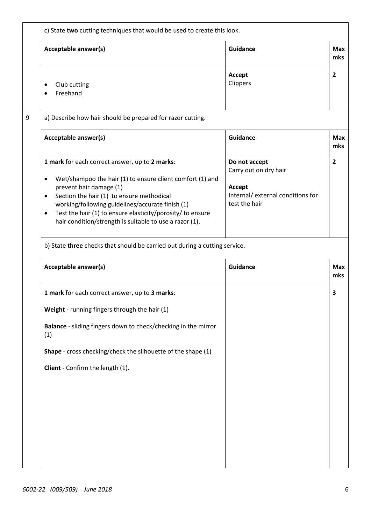|   | c) State two cutting techniques that would be used to create this look.                                                                                                                                                                                                                                                                                                                 |                                                                                                        |                   |  |
|---|-----------------------------------------------------------------------------------------------------------------------------------------------------------------------------------------------------------------------------------------------------------------------------------------------------------------------------------------------------------------------------------------|--------------------------------------------------------------------------------------------------------|-------------------|--|
|   | Acceptable answer(s)                                                                                                                                                                                                                                                                                                                                                                    | <b>Guidance</b>                                                                                        | <b>Max</b><br>mks |  |
|   | Club cutting<br>Freehand                                                                                                                                                                                                                                                                                                                                                                | Accept<br>Clippers                                                                                     | 2                 |  |
| 9 | a) Describe how hair should be prepared for razor cutting.                                                                                                                                                                                                                                                                                                                              |                                                                                                        |                   |  |
|   | Acceptable answer(s)                                                                                                                                                                                                                                                                                                                                                                    | <b>Guidance</b>                                                                                        | <b>Max</b><br>mks |  |
|   | 1 mark for each correct answer, up to 2 marks:<br>Wet/shampoo the hair (1) to ensure client comfort (1) and<br>٠<br>prevent hair damage (1)<br>Section the hair (1) to ensure methodical<br>٠<br>working/following guidelines/accurate finish (1)<br>Test the hair (1) to ensure elasticity/porosity/ to ensure<br>$\bullet$<br>hair condition/strength is suitable to use a razor (1). | Do not accept<br>Carry out on dry hair<br>Accept<br>Internal/ external conditions for<br>test the hair | 2                 |  |
|   | b) State three checks that should be carried out during a cutting service.                                                                                                                                                                                                                                                                                                              |                                                                                                        |                   |  |
|   | Acceptable answer(s)                                                                                                                                                                                                                                                                                                                                                                    | <b>Guidance</b>                                                                                        | <b>Max</b><br>mks |  |
|   | 1 mark for each correct answer, up to 3 marks:                                                                                                                                                                                                                                                                                                                                          |                                                                                                        | 3                 |  |
|   | Weight - running fingers through the hair (1)                                                                                                                                                                                                                                                                                                                                           |                                                                                                        |                   |  |
|   | Balance - sliding fingers down to check/checking in the mirror<br>(1)                                                                                                                                                                                                                                                                                                                   |                                                                                                        |                   |  |
|   | Shape - cross checking/check the silhouette of the shape (1)                                                                                                                                                                                                                                                                                                                            |                                                                                                        |                   |  |
|   | Client - Confirm the length (1).                                                                                                                                                                                                                                                                                                                                                        |                                                                                                        |                   |  |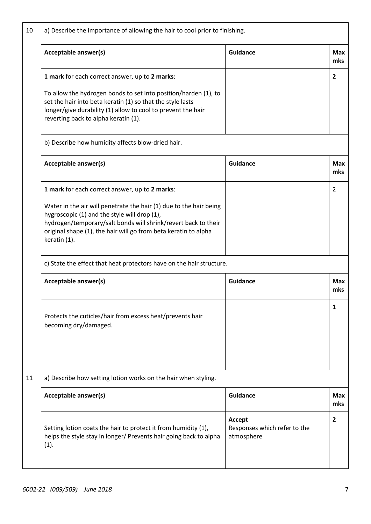| 10 | a) Describe the importance of allowing the hair to cool prior to finishing.                                                                                                                                                                                             |                                                      |                   |  |  |
|----|-------------------------------------------------------------------------------------------------------------------------------------------------------------------------------------------------------------------------------------------------------------------------|------------------------------------------------------|-------------------|--|--|
|    | Acceptable answer(s)                                                                                                                                                                                                                                                    | <b>Guidance</b>                                      | <b>Max</b><br>mks |  |  |
|    | 1 mark for each correct answer, up to 2 marks:                                                                                                                                                                                                                          |                                                      | $\overline{2}$    |  |  |
|    | To allow the hydrogen bonds to set into position/harden (1), to<br>set the hair into beta keratin (1) so that the style lasts<br>longer/give durability (1) allow to cool to prevent the hair<br>reverting back to alpha keratin (1).                                   |                                                      |                   |  |  |
|    | b) Describe how humidity affects blow-dried hair.                                                                                                                                                                                                                       |                                                      |                   |  |  |
|    | Acceptable answer(s)                                                                                                                                                                                                                                                    | <b>Guidance</b>                                      | <b>Max</b><br>mks |  |  |
|    | 1 mark for each correct answer, up to 2 marks:                                                                                                                                                                                                                          |                                                      | 2                 |  |  |
|    | Water in the air will penetrate the hair (1) due to the hair being<br>hygroscopic (1) and the style will drop (1),<br>hydrogen/temporary/salt bonds will shrink/revert back to their<br>original shape (1), the hair will go from beta keratin to alpha<br>keratin (1). |                                                      |                   |  |  |
|    | c) State the effect that heat protectors have on the hair structure.                                                                                                                                                                                                    |                                                      |                   |  |  |
|    | Acceptable answer(s)                                                                                                                                                                                                                                                    | <b>Guidance</b>                                      | <b>Max</b><br>mks |  |  |
|    | Protects the cuticles/hair from excess heat/prevents hair<br>becoming dry/damaged.                                                                                                                                                                                      |                                                      | 1                 |  |  |
| 11 | a) Describe how setting lotion works on the hair when styling.                                                                                                                                                                                                          |                                                      |                   |  |  |
|    | Acceptable answer(s)                                                                                                                                                                                                                                                    | <b>Guidance</b>                                      | <b>Max</b><br>mks |  |  |
|    | Setting lotion coats the hair to protect it from humidity (1),<br>helps the style stay in longer/ Prevents hair going back to alpha<br>(1).                                                                                                                             | Accept<br>Responses which refer to the<br>atmosphere | $\overline{2}$    |  |  |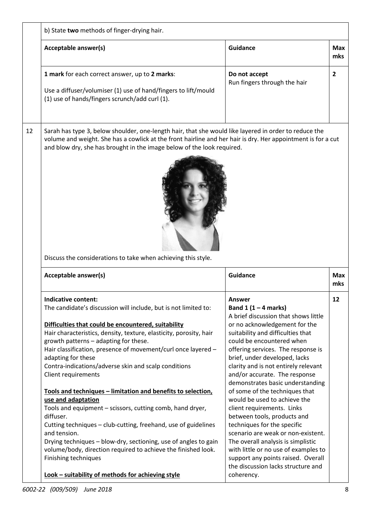|    | b) State two methods of finger-drying hair.                                                                                                                                                                                                                                                                                                                                                                                                                                                                                                                                                                                                                                                                                                                                                                                                                                                          |                                                                                                                                                                                                                                                                                                                                                                                                                                                                                                                                                                                                                                                                                                                                          |                   |
|----|------------------------------------------------------------------------------------------------------------------------------------------------------------------------------------------------------------------------------------------------------------------------------------------------------------------------------------------------------------------------------------------------------------------------------------------------------------------------------------------------------------------------------------------------------------------------------------------------------------------------------------------------------------------------------------------------------------------------------------------------------------------------------------------------------------------------------------------------------------------------------------------------------|------------------------------------------------------------------------------------------------------------------------------------------------------------------------------------------------------------------------------------------------------------------------------------------------------------------------------------------------------------------------------------------------------------------------------------------------------------------------------------------------------------------------------------------------------------------------------------------------------------------------------------------------------------------------------------------------------------------------------------------|-------------------|
|    | Acceptable answer(s)                                                                                                                                                                                                                                                                                                                                                                                                                                                                                                                                                                                                                                                                                                                                                                                                                                                                                 | <b>Guidance</b>                                                                                                                                                                                                                                                                                                                                                                                                                                                                                                                                                                                                                                                                                                                          | <b>Max</b><br>mks |
|    | 1 mark for each correct answer, up to 2 marks:<br>Use a diffuser/volumiser (1) use of hand/fingers to lift/mould<br>(1) use of hands/fingers scrunch/add curl (1).                                                                                                                                                                                                                                                                                                                                                                                                                                                                                                                                                                                                                                                                                                                                   | Do not accept<br>Run fingers through the hair                                                                                                                                                                                                                                                                                                                                                                                                                                                                                                                                                                                                                                                                                            | $\overline{2}$    |
| 12 | volume and weight. She has a cowlick at the front hairline and her hair is dry. Her appointment is for a cut<br>and blow dry, she has brought in the image below of the look required.<br>Discuss the considerations to take when achieving this style.                                                                                                                                                                                                                                                                                                                                                                                                                                                                                                                                                                                                                                              |                                                                                                                                                                                                                                                                                                                                                                                                                                                                                                                                                                                                                                                                                                                                          |                   |
|    | Acceptable answer(s)                                                                                                                                                                                                                                                                                                                                                                                                                                                                                                                                                                                                                                                                                                                                                                                                                                                                                 | <b>Guidance</b>                                                                                                                                                                                                                                                                                                                                                                                                                                                                                                                                                                                                                                                                                                                          | <b>Max</b><br>mks |
|    | Indicative content<br>The candidate's discussion will include, but is not limited to:<br>Difficulties that could be encountered, suitability<br>Hair characteristics, density, texture, elasticity, porosity, hair<br>growth patterns - adapting for these.<br>Hair classification, presence of movement/curl once layered -<br>adapting for these<br>Contra-indications/adverse skin and scalp conditions<br>Client requirements<br>Tools and techniques - limitation and benefits to selection,<br>use and adaptation<br>Tools and equipment - scissors, cutting comb, hand dryer,<br>diffuser.<br>Cutting techniques - club-cutting, freehand, use of guidelines<br>and tension.<br>Drying techniques - blow-dry, sectioning, use of angles to gain<br>volume/body, direction required to achieve the finished look.<br>Finishing techniques<br>Look - suitability of methods for achieving style | Answer<br>Band $1(1-4$ marks)<br>A brief discussion that shows little<br>or no acknowledgement for the<br>suitability and difficulties that<br>could be encountered when<br>offering services. The response is<br>brief, under developed, lacks<br>clarity and is not entirely relevant<br>and/or accurate. The response<br>demonstrates basic understanding<br>of some of the techniques that<br>would be used to achieve the<br>client requirements. Links<br>between tools, products and<br>techniques for the specific<br>scenario are weak or non-existent.<br>The overall analysis is simplistic<br>with little or no use of examples to<br>support any points raised. Overall<br>the discussion lacks structure and<br>coherency. | 12                |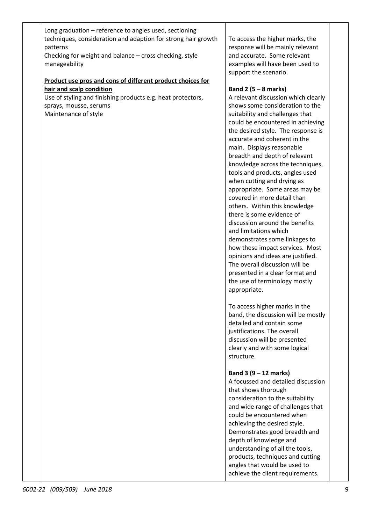| Long graduation - reference to angles used, sectioning<br>techniques, consideration and adaption for strong hair growth<br>patterns<br>Checking for weight and balance - cross checking, style<br>manageability | To access the higher marks, the<br>response will be mainly relevant<br>and accurate. Some relevant<br>examples will have been used to<br>support the scenario.                                                                                                                                                                                                                                                                                                                                                                                                                                                                                                                                                                                                                                                                             |
|-----------------------------------------------------------------------------------------------------------------------------------------------------------------------------------------------------------------|--------------------------------------------------------------------------------------------------------------------------------------------------------------------------------------------------------------------------------------------------------------------------------------------------------------------------------------------------------------------------------------------------------------------------------------------------------------------------------------------------------------------------------------------------------------------------------------------------------------------------------------------------------------------------------------------------------------------------------------------------------------------------------------------------------------------------------------------|
| Product use pros and cons of different product choices for                                                                                                                                                      |                                                                                                                                                                                                                                                                                                                                                                                                                                                                                                                                                                                                                                                                                                                                                                                                                                            |
| hair and scalp condition<br>Use of styling and finishing products e.g. heat protectors,<br>sprays, mousse, serums<br>Maintenance of style                                                                       | Band 2 $(5 - 8$ marks)<br>A relevant discussion which clearly<br>shows some consideration to the<br>suitability and challenges that<br>could be encountered in achieving<br>the desired style. The response is<br>accurate and coherent in the<br>main. Displays reasonable<br>breadth and depth of relevant<br>knowledge across the techniques,<br>tools and products, angles used<br>when cutting and drying as<br>appropriate. Some areas may be<br>covered in more detail than<br>others. Within this knowledge<br>there is some evidence of<br>discussion around the benefits<br>and limitations which<br>demonstrates some linkages to<br>how these impact services. Most<br>opinions and ideas are justified.<br>The overall discussion will be<br>presented in a clear format and<br>the use of terminology mostly<br>appropriate. |
|                                                                                                                                                                                                                 | To access higher marks in the<br>band, the discussion will be mostly<br>detailed and contain some<br>justifications. The overall<br>discussion will be presented<br>clearly and with some logical<br>structure.                                                                                                                                                                                                                                                                                                                                                                                                                                                                                                                                                                                                                            |
|                                                                                                                                                                                                                 | Band $3(9 - 12$ marks)<br>A focussed and detailed discussion<br>that shows thorough<br>consideration to the suitability<br>and wide range of challenges that<br>could be encountered when<br>achieving the desired style.<br>Demonstrates good breadth and<br>depth of knowledge and<br>understanding of all the tools,<br>products, techniques and cutting<br>angles that would be used to<br>achieve the client requirements.                                                                                                                                                                                                                                                                                                                                                                                                            |

## **Band 2 (5 – 8 marks)**